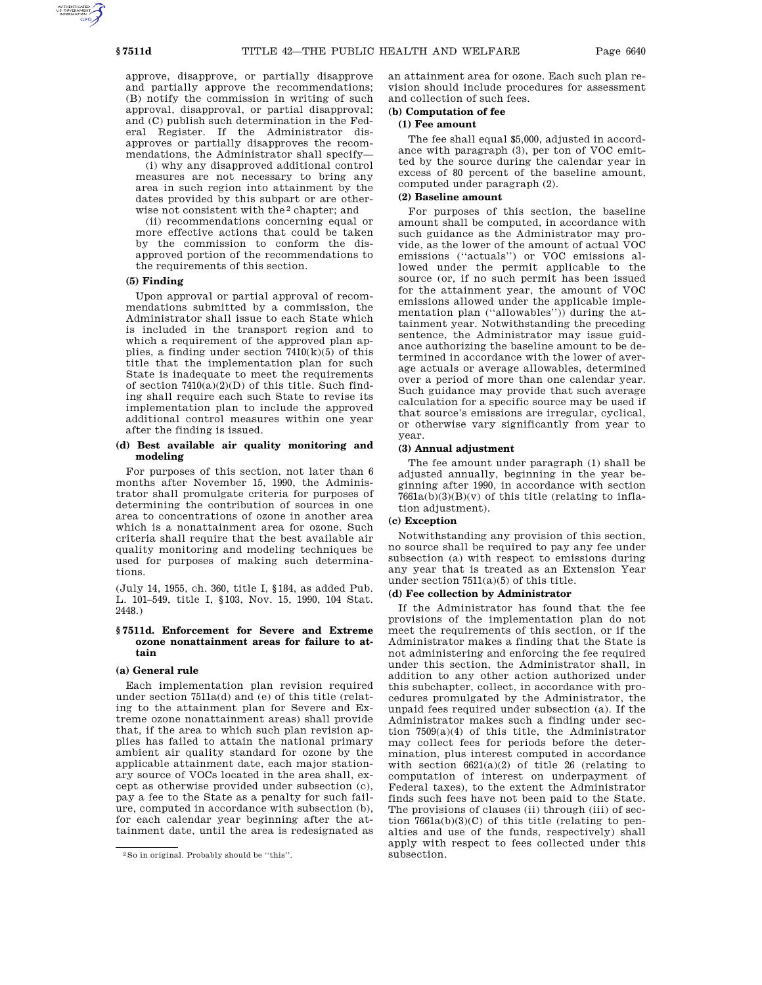approve, disapprove, or partially disapprove and partially approve the recommendations; (B) notify the commission in writing of such approval, disapproval, or partial disapproval; and (C) publish such determination in the Federal Register. If the Administrator disapproves or partially disapproves the recommendations, the Administrator shall specify—

(i) why any disapproved additional control measures are not necessary to bring any area in such region into attainment by the dates provided by this subpart or are otherwise not consistent with the 2 chapter; and

(ii) recommendations concerning equal or more effective actions that could be taken by the commission to conform the disapproved portion of the recommendations to the requirements of this section.

#### **(5) Finding**

Upon approval or partial approval of recommendations submitted by a commission, the Administrator shall issue to each State which is included in the transport region and to which a requirement of the approved plan applies, a finding under section  $7410(k)(5)$  of this title that the implementation plan for such State is inadequate to meet the requirements of section  $7410(a)(2)(D)$  of this title. Such finding shall require each such State to revise its implementation plan to include the approved additional control measures within one year after the finding is issued.

#### **(d) Best available air quality monitoring and modeling**

For purposes of this section, not later than 6 months after November 15, 1990, the Administrator shall promulgate criteria for purposes of determining the contribution of sources in one area to concentrations of ozone in another area which is a nonattainment area for ozone. Such criteria shall require that the best available air quality monitoring and modeling techniques be used for purposes of making such determinations.

(July 14, 1955, ch. 360, title I, §184, as added Pub. L. 101–549, title I, §103, Nov. 15, 1990, 104 Stat. 2448.)

#### **§ 7511d. Enforcement for Severe and Extreme ozone nonattainment areas for failure to attain**

#### **(a) General rule**

Each implementation plan revision required under section 7511a(d) and (e) of this title (relating to the attainment plan for Severe and Extreme ozone nonattainment areas) shall provide that, if the area to which such plan revision applies has failed to attain the national primary ambient air quality standard for ozone by the applicable attainment date, each major stationary source of VOCs located in the area shall, except as otherwise provided under subsection (c), pay a fee to the State as a penalty for such failure, computed in accordance with subsection (b), for each calendar year beginning after the attainment date, until the area is redesignated as an attainment area for ozone. Each such plan revision should include procedures for assessment and collection of such fees.

# **(b) Computation of fee**

## **(1) Fee amount**

The fee shall equal \$5,000, adjusted in accordance with paragraph (3), per ton of VOC emitted by the source during the calendar year in excess of 80 percent of the baseline amount, computed under paragraph (2).

# **(2) Baseline amount**

For purposes of this section, the baseline amount shall be computed, in accordance with such guidance as the Administrator may provide, as the lower of the amount of actual VOC emissions (''actuals'') or VOC emissions allowed under the permit applicable to the source (or, if no such permit has been issued for the attainment year, the amount of VOC emissions allowed under the applicable implementation plan (''allowables'')) during the attainment year. Notwithstanding the preceding sentence, the Administrator may issue guidance authorizing the baseline amount to be determined in accordance with the lower of average actuals or average allowables, determined over a period of more than one calendar year. Such guidance may provide that such average calculation for a specific source may be used if that source's emissions are irregular, cyclical, or otherwise vary significantly from year to year.

# **(3) Annual adjustment**

The fee amount under paragraph (1) shall be adjusted annually, beginning in the year beginning after 1990, in accordance with section  $7661a(b)(3)(B)(v)$  of this title (relating to inflation adjustment).

### **(c) Exception**

Notwithstanding any provision of this section, no source shall be required to pay any fee under subsection (a) with respect to emissions during any year that is treated as an Extension Year under section 7511(a)(5) of this title.

# **(d) Fee collection by Administrator**

If the Administrator has found that the fee provisions of the implementation plan do not meet the requirements of this section, or if the Administrator makes a finding that the State is not administering and enforcing the fee required under this section, the Administrator shall, in addition to any other action authorized under this subchapter, collect, in accordance with procedures promulgated by the Administrator, the unpaid fees required under subsection (a). If the Administrator makes such a finding under section 7509(a)(4) of this title, the Administrator may collect fees for periods before the determination, plus interest computed in accordance with section  $6621(a)(2)$  of title 26 (relating to computation of interest on underpayment of Federal taxes), to the extent the Administrator finds such fees have not been paid to the State. The provisions of clauses (ii) through (iii) of section  $7661a(b)(3)(C)$  of this title (relating to penalties and use of the funds, respectively) shall apply with respect to fees collected under this subsection.

<sup>2</sup>So in original. Probably should be ''this''.